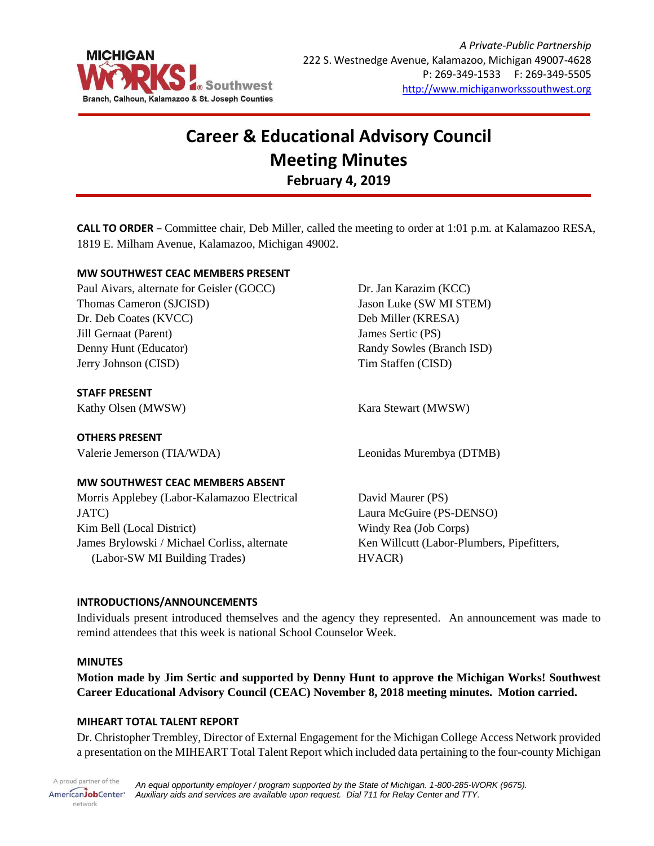

# **Career & Educational Advisory Council Meeting Minutes February 4, 2019**

**CALL TO ORDER** – Committee chair, Deb Miller, called the meeting to order at 1:01 p.m. at Kalamazoo RESA, 1819 E. Milham Avenue, Kalamazoo, Michigan 49002.

## **MW SOUTHWEST CEAC MEMBERS PRESENT**

Paul Aivars, alternate for Geisler (GOCC) Thomas Cameron (SJCISD) Dr. Deb Coates (KVCC) Jill Gernaat (Parent) Denny Hunt (Educator) Jerry Johnson (CISD)

# **STAFF PRESENT**

Kathy Olsen (MWSW) Kara Stewart (MWSW)

**OTHERS PRESENT**

## **MW SOUTHWEST CEAC MEMBERS ABSENT**

Morris Applebey (Labor-Kalamazoo Electrical JATC) Kim Bell (Local District) James Brylowski / Michael Corliss, alternate (Labor-SW MI Building Trades)

Dr. Jan Karazim (KCC) Jason Luke (SW MI STEM) Deb Miller (KRESA) James Sertic (PS) Randy Sowles (Branch ISD) Tim Staffen (CISD)

Valerie Jemerson (TIA/WDA) Leonidas Murembya (DTMB)

David Maurer (PS) Laura McGuire (PS-DENSO) Windy Rea (Job Corps) Ken Willcutt (Labor-Plumbers, Pipefitters, HVACR)

## **INTRODUCTIONS/ANNOUNCEMENTS**

Individuals present introduced themselves and the agency they represented. An announcement was made to remind attendees that this week is national School Counselor Week.

#### **MINUTES**

**Motion made by Jim Sertic and supported by Denny Hunt to approve the Michigan Works! Southwest Career Educational Advisory Council (CEAC) November 8, 2018 meeting minutes. Motion carried.**

## **MIHEART TOTAL TALENT REPORT**

Dr. Christopher Trembley, Director of External Engagement for the Michigan College Access Network provided a presentation on the MIHEART Total Talent Report which included data pertaining to the four-county Michigan

A proud partner of the *An equal opportunity employer / program supported by the State of Michigan. 1-800-285-WORK (9675).* AmericanJobCenter\* *Auxiliary aids and services are available upon request. Dial 711 for Relay Center and TTY.* network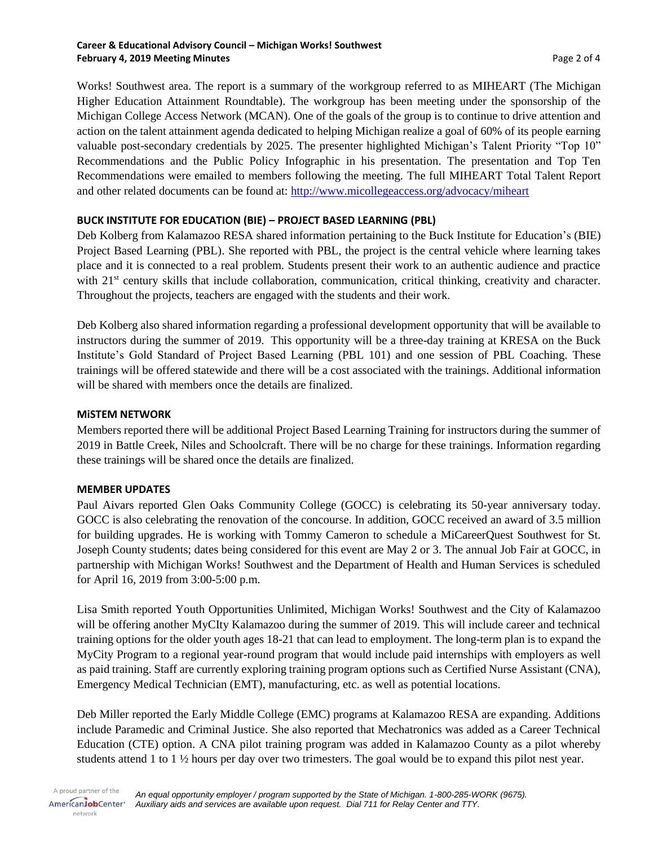#### **Career & Educational Advisory Council – Michigan Works! Southwest February 4, 2019 Meeting Minutes Page 2 of 4**

Works! Southwest area. The report is a summary of the workgroup referred to as MIHEART (The Michigan Higher Education Attainment Roundtable). The workgroup has been meeting under the sponsorship of the Michigan College Access Network (MCAN). One of the goals of the group is to continue to drive attention and action on the talent attainment agenda dedicated to helping Michigan realize a goal of 60% of its people earning valuable post-secondary credentials by 2025. The presenter highlighted Michigan's Talent Priority "Top 10" Recommendations and the Public Policy Infographic in his presentation. The presentation and Top Ten Recommendations were emailed to members following the meeting. The full MIHEART Total Talent Report and other related documents can be found at:<http://www.micollegeaccess.org/advocacy/miheart>

# **BUCK INSTITUTE FOR EDUCATION (BIE) – PROJECT BASED LEARNING (PBL)**

Deb Kolberg from Kalamazoo RESA shared information pertaining to the Buck Institute for Education's (BIE) Project Based Learning (PBL). She reported with PBL, the project is the central vehicle where learning takes place and it is connected to a real problem. Students present their work to an authentic audience and practice with 21<sup>st</sup> century skills that include collaboration, communication, critical thinking, creativity and character. Throughout the projects, teachers are engaged with the students and their work.

Deb Kolberg also shared information regarding a professional development opportunity that will be available to instructors during the summer of 2019. This opportunity will be a three-day training at KRESA on the Buck Institute's Gold Standard of Project Based Learning (PBL 101) and one session of PBL Coaching. These trainings will be offered statewide and there will be a cost associated with the trainings. Additional information will be shared with members once the details are finalized.

## **MiSTEM NETWORK**

Members reported there will be additional Project Based Learning Training for instructors during the summer of 2019 in Battle Creek, Niles and Schoolcraft. There will be no charge for these trainings. Information regarding these trainings will be shared once the details are finalized.

## **MEMBER UPDATES**

Paul Aivars reported Glen Oaks Community College (GOCC) is celebrating its 50-year anniversary today. GOCC is also celebrating the renovation of the concourse. In addition, GOCC received an award of 3.5 million for building upgrades. He is working with Tommy Cameron to schedule a MiCareerQuest Southwest for St. Joseph County students; dates being considered for this event are May 2 or 3. The annual Job Fair at GOCC, in partnership with Michigan Works! Southwest and the Department of Health and Human Services is scheduled for April 16, 2019 from 3:00-5:00 p.m.

Lisa Smith reported Youth Opportunities Unlimited, Michigan Works! Southwest and the City of Kalamazoo will be offering another MyCIty Kalamazoo during the summer of 2019. This will include career and technical training options for the older youth ages 18-21 that can lead to employment. The long-term plan is to expand the MyCity Program to a regional year-round program that would include paid internships with employers as well as paid training. Staff are currently exploring training program options such as Certified Nurse Assistant (CNA), Emergency Medical Technician (EMT), manufacturing, etc. as well as potential locations.

Deb Miller reported the Early Middle College (EMC) programs at Kalamazoo RESA are expanding. Additions include Paramedic and Criminal Justice. She also reported that Mechatronics was added as a Career Technical Education (CTE) option. A CNA pilot training program was added in Kalamazoo County as a pilot whereby students attend 1 to 1 ½ hours per day over two trimesters. The goal would be to expand this pilot nest year.

A proud partner of the AmericanJobCenter\* network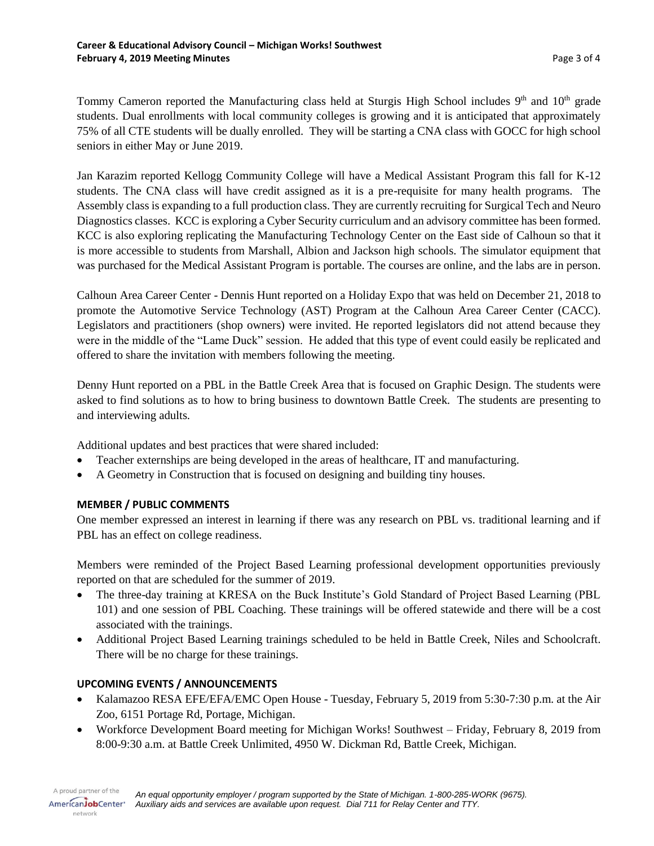Tommy Cameron reported the Manufacturing class held at Sturgis High School includes 9<sup>th</sup> and 10<sup>th</sup> grade students. Dual enrollments with local community colleges is growing and it is anticipated that approximately 75% of all CTE students will be dually enrolled. They will be starting a CNA class with GOCC for high school seniors in either May or June 2019.

Jan Karazim reported Kellogg Community College will have a Medical Assistant Program this fall for K-12 students. The CNA class will have credit assigned as it is a pre-requisite for many health programs. The Assembly class is expanding to a full production class. They are currently recruiting for Surgical Tech and Neuro Diagnostics classes. KCC is exploring a Cyber Security curriculum and an advisory committee has been formed. KCC is also exploring replicating the Manufacturing Technology Center on the East side of Calhoun so that it is more accessible to students from Marshall, Albion and Jackson high schools. The simulator equipment that was purchased for the Medical Assistant Program is portable. The courses are online, and the labs are in person.

Calhoun Area Career Center - Dennis Hunt reported on a Holiday Expo that was held on December 21, 2018 to promote the Automotive Service Technology (AST) Program at the Calhoun Area Career Center (CACC). Legislators and practitioners (shop owners) were invited. He reported legislators did not attend because they were in the middle of the "Lame Duck" session. He added that this type of event could easily be replicated and offered to share the invitation with members following the meeting.

Denny Hunt reported on a PBL in the Battle Creek Area that is focused on Graphic Design. The students were asked to find solutions as to how to bring business to downtown Battle Creek. The students are presenting to and interviewing adults.

Additional updates and best practices that were shared included:

- Teacher externships are being developed in the areas of healthcare, IT and manufacturing.
- A Geometry in Construction that is focused on designing and building tiny houses.

## **MEMBER / PUBLIC COMMENTS**

One member expressed an interest in learning if there was any research on PBL vs. traditional learning and if PBL has an effect on college readiness.

Members were reminded of the Project Based Learning professional development opportunities previously reported on that are scheduled for the summer of 2019.

- The three-day training at KRESA on the Buck Institute's Gold Standard of Project Based Learning (PBL 101) and one session of PBL Coaching. These trainings will be offered statewide and there will be a cost associated with the trainings.
- Additional Project Based Learning trainings scheduled to be held in Battle Creek, Niles and Schoolcraft. There will be no charge for these trainings.

# **UPCOMING EVENTS / ANNOUNCEMENTS**

network

- Kalamazoo RESA EFE/EFA/EMC Open House Tuesday, February 5, 2019 from 5:30-7:30 p.m. at the Air Zoo, 6151 Portage Rd, Portage, Michigan.
- Workforce Development Board meeting for Michigan Works! Southwest Friday, February 8, 2019 from 8:00-9:30 a.m. at Battle Creek Unlimited, 4950 W. Dickman Rd, Battle Creek, Michigan.